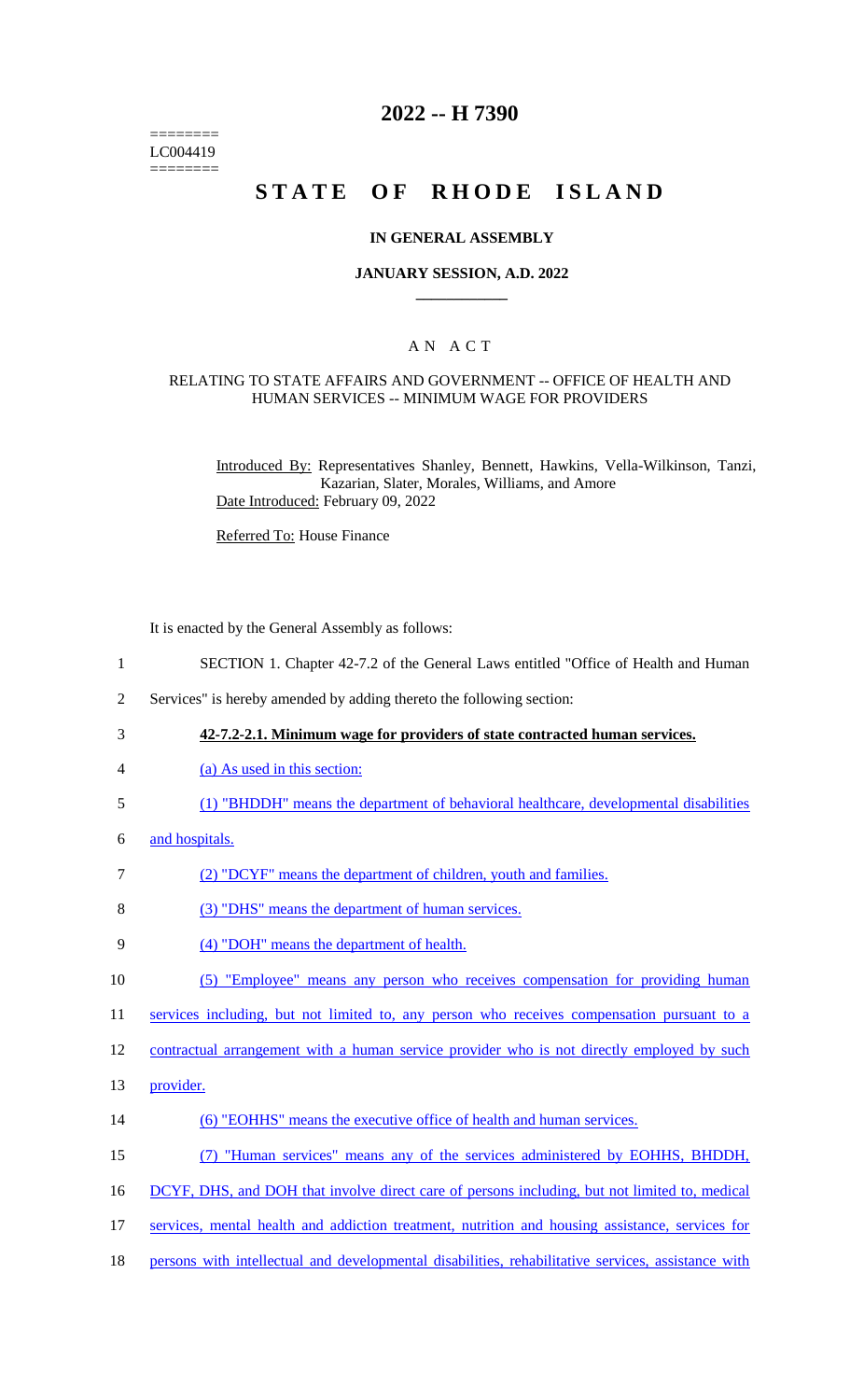======== LC004419 ========

# **2022 -- H 7390**

# **STATE OF RHODE ISLAND**

### **IN GENERAL ASSEMBLY**

### **JANUARY SESSION, A.D. 2022 \_\_\_\_\_\_\_\_\_\_\_\_**

### A N A C T

### RELATING TO STATE AFFAIRS AND GOVERNMENT -- OFFICE OF HEALTH AND HUMAN SERVICES -- MINIMUM WAGE FOR PROVIDERS

Introduced By: Representatives Shanley, Bennett, Hawkins, Vella-Wilkinson, Tanzi, Kazarian, Slater, Morales, Williams, and Amore Date Introduced: February 09, 2022

Referred To: House Finance

It is enacted by the General Assembly as follows:

- 1 SECTION 1. Chapter 42-7.2 of the General Laws entitled "Office of Health and Human
- 2 Services" is hereby amended by adding thereto the following section:
- 3 **42-7.2-2.1. Minimum wage for providers of state contracted human services.**
- 4 (a) As used in this section:
- 5 (1) "BHDDH" means the department of behavioral healthcare, developmental disabilities
- 6 and hospitals.
- 7 (2) "DCYF" means the department of children, youth and families.
- 8 (3) "DHS" means the department of human services.
- 9 (4) "DOH" means the department of health.
- 10 (5) "Employee" means any person who receives compensation for providing human

11 services including, but not limited to, any person who receives compensation pursuant to a

12 contractual arrangement with a human service provider who is not directly employed by such

- 13 **provider**.
- 14 (6) "EOHHS" means the executive office of health and human services.
- 15 (7) "Human services" means any of the services administered by EOHHS, BHDDH,
- 16 DCYF, DHS, and DOH that involve direct care of persons including, but not limited to, medical
- 17 services, mental health and addiction treatment, nutrition and housing assistance, services for
- 18 persons with intellectual and developmental disabilities, rehabilitative services, assistance with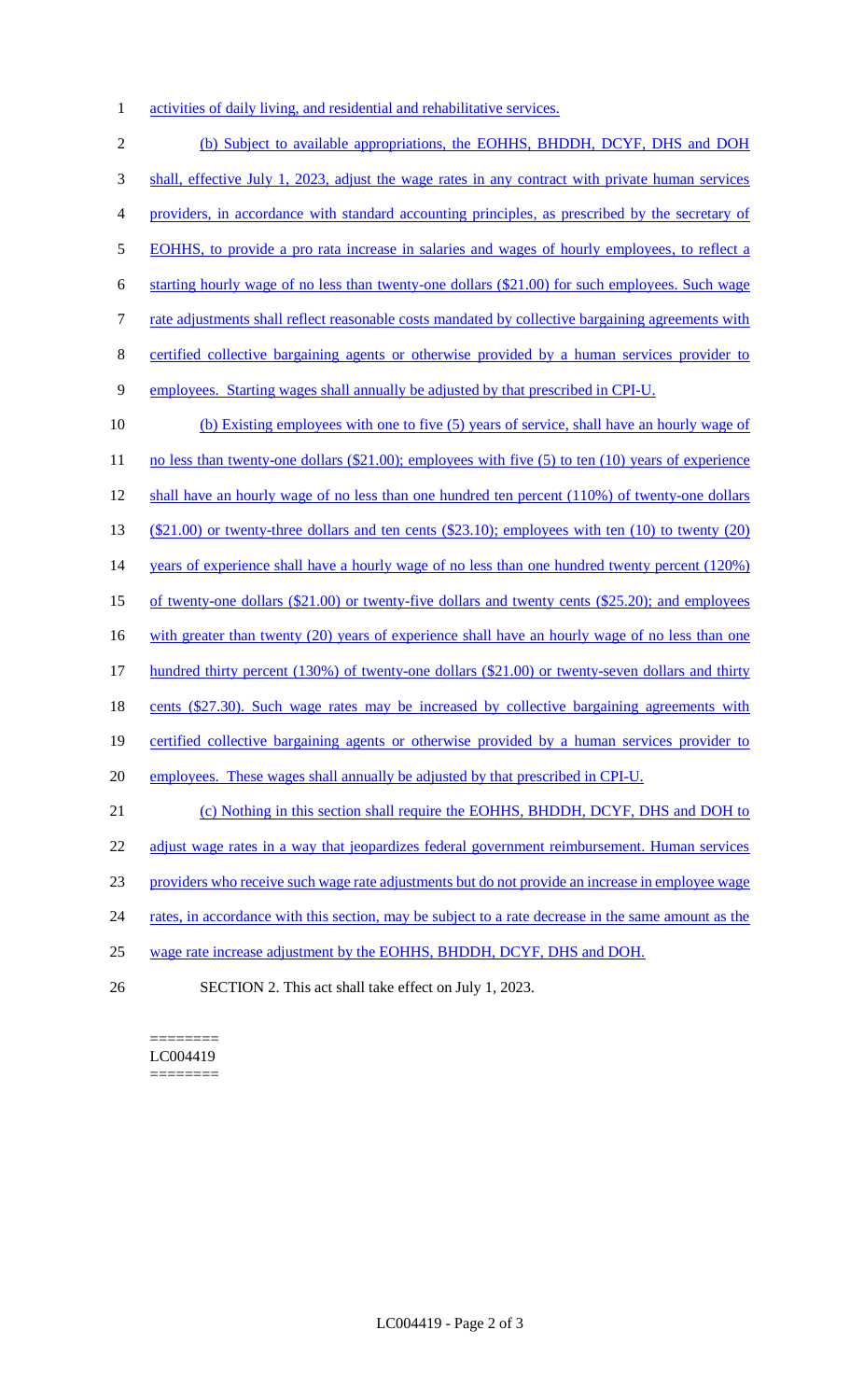1 activities of daily living, and residential and rehabilitative services.

 (b) Subject to available appropriations, the EOHHS, BHDDH, DCYF, DHS and DOH shall, effective July 1, 2023, adjust the wage rates in any contract with private human services providers, in accordance with standard accounting principles, as prescribed by the secretary of EOHHS, to provide a pro rata increase in salaries and wages of hourly employees, to reflect a starting hourly wage of no less than twenty-one dollars (\$21.00) for such employees. Such wage 7 rate adjustments shall reflect reasonable costs mandated by collective bargaining agreements with certified collective bargaining agents or otherwise provided by a human services provider to employees. Starting wages shall annually be adjusted by that prescribed in CPI-U. (b) Existing employees with one to five (5) years of service, shall have an hourly wage of 11 no less than twenty-one dollars (\$21.00); employees with five (5) to ten (10) years of experience shall have an hourly wage of no less than one hundred ten percent (110%) of twenty-one dollars (\$21.00) or twenty-three dollars and ten cents (\$23.10); employees with ten (10) to twenty (20) 14 years of experience shall have a hourly wage of no less than one hundred twenty percent (120%) of twenty-one dollars (\$21.00) or twenty-five dollars and twenty cents (\$25.20); and employees 16 with greater than twenty (20) years of experience shall have an hourly wage of no less than one 17 hundred thirty percent (130%) of twenty-one dollars (\$21.00) or twenty-seven dollars and thirty 18 cents (\$27.30). Such wage rates may be increased by collective bargaining agreements with certified collective bargaining agents or otherwise provided by a human services provider to employees. These wages shall annually be adjusted by that prescribed in CPI-U. (c) Nothing in this section shall require the EOHHS, BHDDH, DCYF, DHS and DOH to 22 adjust wage rates in a way that jeopardizes federal government reimbursement. Human services providers who receive such wage rate adjustments but do not provide an increase in employee wage 24 rates, in accordance with this section, may be subject to a rate decrease in the same amount as the wage rate increase adjustment by the EOHHS, BHDDH, DCYF, DHS and DOH.

26 SECTION 2. This act shall take effect on July 1, 2023.

#### ======== LC004419 ========